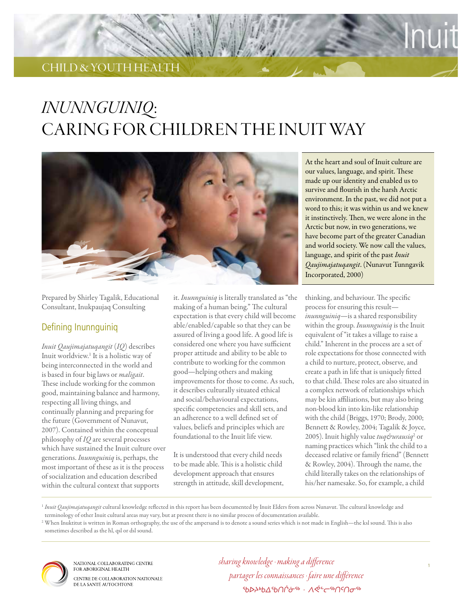# child & youth health

# *Inunnguiniq*: Caring for children the Inuit way



Prepared by Shirley Tagalik, Educational Consultant, Inukpaujaq Consulting

#### Defining Inunnguiniq

*Inuit Qaujimajatuqangit* (*IQ*) describes Inuit worldview.<sup>1</sup> It is a holistic way of being interconnected in the world and is based in four big laws or *maligait*. These include working for the common good, maintaining balance and harmony, respecting all living things, and continually planning and preparing for the future (Government of Nunavut, 2007). Contained within the conceptual philosophy of *IQ* are several processes which have sustained the Inuit culture over generations. *Inunnguiniq* is, perhaps, the most important of these as it is the process of socialization and education described within the cultural context that supports

it. *Inunnguiniq* is literally translated as "the making of a human being." The cultural expectation is that every child will become able/enabled/capable so that they can be assured of living a good life. A good life is considered one where you have sufficient proper attitude and ability to be able to contribute to working for the common good—helping others and making improvements for those to come. As such, it describes culturally situated ethical and social/behavioural expectations, specific competencies and skill sets, and an adherence to a well defined set of values, beliefs and principles which are foundational to the Inuit life view.

It is understood that every child needs to be made able. This is a holistic child development approach that ensures strength in attitude, skill development, At the heart and soul of Inuit culture are our values, language, and spirit. These made up our identity and enabled us to survive and flourish in the harsh Arctic environment. In the past, we did not put a word to this; it was within us and we knew it instinctively. Then, we were alone in the Arctic but now, in two generations, we have become part of the greater Canadian and world society. We now call the values, language, and spirit of the past *Inuit Qaujimajatuqangit*. (Nunavut Tunngavik Incorporated, 2000)

Inuit

thinking, and behaviour. The specific process for ensuring this result *inunnguiniq*—is a shared responsibility within the group. *Inunnguiniq* is the Inuit equivalent of "it takes a village to raise a child." Inherent in the process are a set of role expectations for those connected with a child to nurture, protect, observe, and create a path in life that is uniquely fitted to that child. These roles are also situated in a complex network of relationships which may be kin affiliations, but may also bring non-blood kin into kin-like relationship with the child (Briggs, 1970; Brody, 2000; Bennett & Rowley, 2004; Tagalik & Joyce, 2005). Inuit highly value *tuq&urausiq*<sup>2</sup> or naming practices which "link the child to a deceased relative or family friend" (Bennett & Rowley, 2004). Through the name, the child literally takes on the relationships of his/her namesake. So, for example, a child

<sup>1</sup> Inuit Qaujimajatuqangit cultural knowledge reflected in this report has been documented by Inuit Elders from across Nunavut. The cultural knowledge and terminology of other Inuit cultural areas may vary, but at present there is no similar process of documentation available.

<sup>2</sup> When Inuktitut is written in Roman orthography, the use of the ampersand is to denote a sound series which is not made in English—the ksl sound. This is also sometimes described as the hl, qsl or dsl sound.



NATIONAL COLLABORATING CENTRE FOR ABORIGINAL HEALTH CENTRE DE COLLABORATION NATIONALE DE LA SANTÉ AUTOCHTONE

*sharing knowledge · making a difference partager les connaissances · faire une différence ᖃᐅᔨᒃᑲᐃᖃᑎᒌᓃᖅ · ᐱᕚᓪᓕᖅᑎᑦᑎᓂᖅ*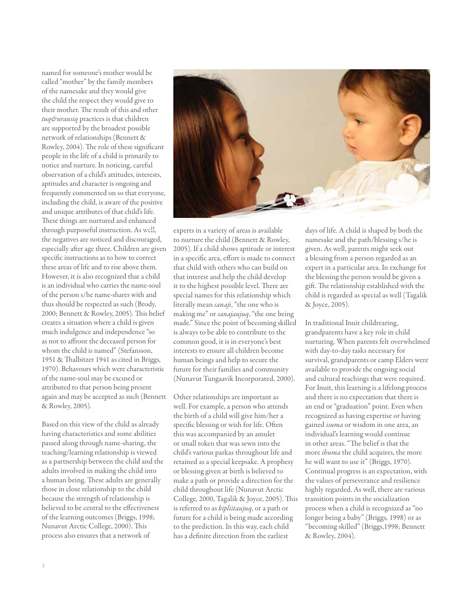named for someone's mother would be called "mother" by the family members of the namesake and they would give the child the respect they would give to their mother. The result of this and other *tuq&urausiq* practices is that children are supported by the broadest possible network of relationships (Bennett & Rowley, 2004). The role of these significant people in the life of a child is primarily to notice and nurture. In noticing, careful observation of a child's attitudes, interests, aptitudes and character is ongoing and frequently commented on so that everyone, including the child, is aware of the positive and unique attributes of that child's life. These things are nurtured and enhanced through purposeful instruction. As well, the negatives are noticed and discouraged, especially after age three. Children are given specific instructions as to how to correct these areas of life and to rise above them. However, it is also recognized that a child is an individual who carries the name-soul of the person s/he name-shares with and thus should be respected as such (Brody, 2000; Bennett & Rowley, 2005). This belief creates a situation where a child is given much indulgence and independence "so as not to affront the deceased person for whom the child is named" (Stefansson, 1951 & Thalbitzer 1941 as cited in Briggs, 1970). Behavours which were characteristic of the name-soul may be excused or attributed to that person being present again and may be accepted as such (Bennett & Rowley, 2005).

Based on this view of the child as already having characteristics and some abilities passed along through name-sharing, the teaching/learning relationship is viewed as a partnership between the child and the adults involved in making the child into a human being. These adults are generally those in close relationship to the child because the strength of relationship is believed to be central to the effectiveness of the learning outcomes (Briggs, 1998; Nunavut Arctic College, 2000). This process also ensures that a network of



experts in a variety of areas is available to nurture the child (Bennett & Rowley, 2005). If a child shows aptitude or interest in a specific area, effort is made to connect that child with others who can build on that interest and help the child develop it to the highest possible level. There are special names for this relationship which literally mean *sanaji*, "the one who is making me" or *sanajaujuq*, "the one being made." Since the point of becoming skilled is always to be able to contribute to the common good, it is in everyone's best interests to ensure all children become human beings and help to secure the future for their families and community (Nunavut Tungaavik Incorporated, 2000).

Other relationships are important as well. For example, a person who attends the birth of a child will give him/her a specific blessing or wish for life. Often this was accompanied by an amulet or small token that was sewn into the child's various parkas throughout life and retained as a special keepsake. A prophesy or blessing given at birth is believed to make a path or provide a direction for the child throughout life (Nunavut Arctic College, 2000, Tagalik & Joyce, 2005). This is referred to as *kipliitaujuq*, or a path or future for a child is being made according to the prediction. In this way, each child has a definite direction from the earliest

days of life. A child is shaped by both the namesake and the path/blessing s/he is given. As well, parents might seek out a blessing from a person regarded as an expert in a particular area. In exchange for the blessing the person would be given a gift. The relationship established with the child is regarded as special as well (Tagalik & Joyce, 2005).

In traditional Inuit childrearing, grandparents have a key role in child nurturing. When parents felt overwhelmed with day-to-day tasks necessary for survival, grandparents or camp Elders were available to provide the ongoing social and cultural teachings that were required. For Inuit, this learning is a lifelong process and there is no expectation that there is an end or "graduation" point. Even when recognized as having expertise or having gained *isuma* or wisdom in one area, an individual's learning would continue in other areas. "The belief is that the more *ihuma* the child acquires, the more he will want to use it" (Briggs, 1970). Continual progress is an expectation, with the values of perseverance and resilience highly regarded. As well, there are various transition points in the socialization process when a child is recognized as "no longer being a baby" (Briggs, 1998) or as "becoming skilled" (Briggs,1998; Bennett & Rowley, 2004).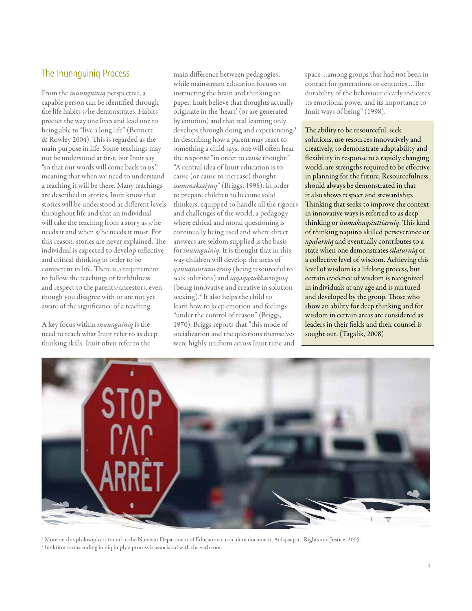#### The Inunnguiniq Process

From the *inunnguiniq* perspective, a capable person can be identified through the life habits s/he demonstrates. Habits predict the way one lives and lead one to being able to "live a long life" (Bennett & Rowley 2004). This is regarded as the main purpose in life. Some teachings may not be understood at first, but Inuit say "so that our words will come back to us,'' meaning that when we need to understand a teaching it will be there. Many teachings are described in stories. Inuit know that stories will be understood at different levels throughout life and that an individual will take the teaching from a story as s/he needs it and when s/he needs it most. For this reason, stories are never explained. The individual is expected to develop reflective and critical thinking in order to be competent in life. There is a requirement to follow the teachings of faithfulness and respect to the parents/ancestors, even though you disagree with or are not yet aware of the significance of a teaching.

A key focus within *inunnguiniq* is the need to teach what Inuit refer to as deep thinking skills. Inuit often refer to the

main difference between pedagogies; while mainstream education focuses on instructing the brain and thinking on paper, Inuit believe that thoughts actually originate in the 'heart' (or are generated by emotion) and that real learning only develops through doing and experiencing.<sup>3</sup> In describing how a parent may react to something a child says, one will often hear the response "in order to cause thought." "A central idea of Inuit education is to cause (or cause to increase) thought: *isummaksaiyuq*" (Briggs, 1998). In order to prepare children to become solid thinkers, equipped to handle all the rigours and challenges of the world, a pedagogy where ethical and moral questioning is continually being used and where direct answers are seldom supplied is the basis for *inunnguiniq*. It is thought that in this way children will develop the areas of *qanuqtuurunnarniq* (being resourceful to seek solutions) and *iqqaqqaukkaringniq* (being innovative and creative in solution seeking).<sup>4</sup> It also helps the child to learn how to keep emotion and feelings "under the control of reason" (Briggs, 1970). Briggs reports that "this mode of socialization and the questions themselves were highly uniform across Inuit time and

space …among groups that had not been in contact for generations or centuries …The durability of the behaviour clearly indicates its emotional power and its importance to Inuit ways of being" (1998).

The ability to be resourceful, seek solutions, use resources innovatively and creatively, to demonstrate adaptability and flexibility in response to a rapidly changing world, are strengths required to be effective in planning for the future. Resourcefulness should always be demonstrated in that it also shows respect and stewardship. Thinking that seeks to improve the context in innovative ways is referred to as deep thinking or *isumaksaqsiuttiarniq*. This kind of thinking requires skilled perseverance or *upalurniq* and eventually contributes to a state when one demonstrates *silaturniq* or a collective level of wisdom. Achieving this level of wisdom is a lifelong process, but certain evidence of wisdom is recognized in individuals at any age and is nurtured and developed by the group. Those who show an ability for deep thinking and for wisdom in certain areas are considered as leaders in their fields and their counsel is sought out. (Tagalik, 2008)



<sup>3</sup> More on this philosophy is found in the Nunavut Department of Education curriculum document, Aulajaaqtut, Rights and Justice, 2005. <sup>4</sup> Inuktitut terms ending in niq imply a process is associated with the verb root.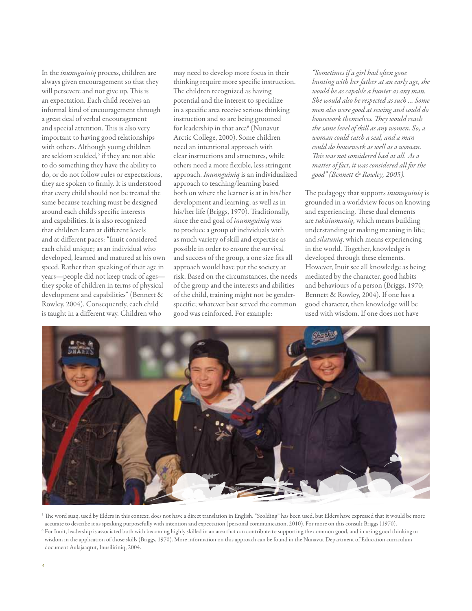In the *inunnguiniq* process, children are always given encouragement so that they will persevere and not give up. This is an expectation. Each child receives an informal kind of encouragement through a great deal of verbal encouragement and special attention. This is also very important to having good relationships with others. Although young children are seldom scolded,<sup>5</sup> if they are not able to do something they have the ability to do, or do not follow rules or expectations, they are spoken to firmly. It is understood that every child should not be treated the same because teaching must be designed around each child's specific interests and capabilities. It is also recognized that children learn at different levels and at different paces: "Inuit considered each child unique; as an individual who developed, learned and matured at his own speed. Rather than speaking of their age in years—people did not keep track of ages they spoke of children in terms of physical development and capabilities" (Bennett & Rowley, 2004). Consequently, each child is taught in a different way. Children who

may need to develop more focus in their thinking require more specific instruction. The children recognized as having potential and the interest to specialize in a specific area receive serious thinking instruction and so are being groomed for leadership in that area<sup>6</sup> (Nunavut Arctic College, 2000). Some children need an intentional approach with clear instructions and structures, while others need a more flexible, less stringent approach. *Inunnguiniq* is an individualized approach to teaching/learning based both on where the learner is at in his/her development and learning, as well as in his/her life (Briggs, 1970). Traditionally, since the end goal of *inunnguiniq* was to produce a group of individuals with as much variety of skill and expertise as possible in order to ensure the survival and success of the group, a one size fits all approach would have put the society at risk. Based on the circumstances, the needs of the group and the interests and abilities of the child, training might not be genderspecific; whatever best served the common good was reinforced. For example:

*"Sometimes if a girl had often gone hunting with her father at an early age, she would be as capable a hunter as any man. She would also be respected as such … Some men also were good at sewing and could do housework themselves. They would reach the same level of skill as any women. So, a woman could catch a seal, and a man could do housework as well as a woman. This was not considered bad at all. As a matter of fact, it was considered all for the good" (Bennett & Rowley, 2005).*

The pedagogy that supports *inunnguiniq* is grounded in a worldview focus on knowing and experiencing. These dual elements are *tukisiumaniq*, which means building understanding or making meaning in life; and *silatuniq*, which means experiencing in the world. Together, knowledge is developed through these elements. However, Inuit see all knowledge as being mediated by the character, good habits and behaviours of a person (Briggs, 1970; Bennett & Rowley, 2004). If one has a good character, then knowledge will be used with wisdom. If one does not have



<sup>5</sup> The word suaq, used by Elders in this context, does not have a direct translation in English. "Scolding" has been used, but Elders have expressed that it would be more accurate to describe it as speaking purposefully with intention and expectation (personal communication, 2010). For more on this consult Briggs (1970).

<sup>6</sup> For Inuit, leadership is associated both with becoming highly skilled in an area that can contribute to supporting the common good, and in using good thinking or wisdom in the application of those skills (Briggs, 1970). More information on this approach can be found in the Nunavut Department of Education curriculum document Aulajaaqtut, Inusiliriniq, 2004.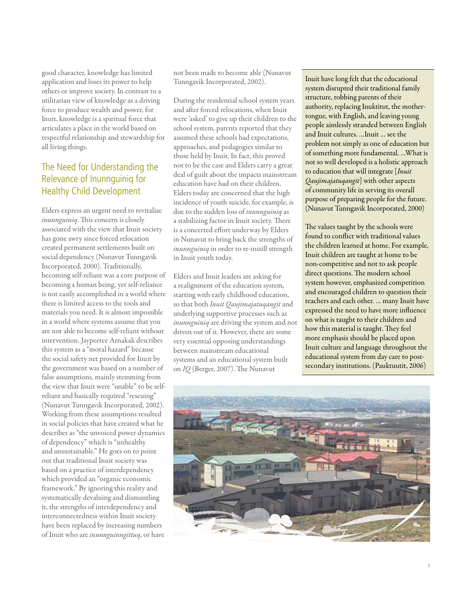good character, knowledge has limited application and loses its power to help others or improve society. In contrast to a utilitarian view of knowledge as a driving force to produce wealth and power, for Inuit, knowledge is a spiritual force that articulates a place in the world based on respectful relationship and stewardship for all living things.

## The Need for Understanding the Relevance of Inunnguiniq for Healthy Child Development

Elders express an urgent need to revitalize *inunnguiniq*. This concern is closely associated with the view that Inuit society has gone awry since forced relocation created permanent settlements built on social dependency (Nunavut Tunngavik Incorporated, 2000). Traditionally, becoming self-reliant was a core purpose of becoming a human being, yet self-reliance is not easily accomplished in a world where there is limited access to the tools and materials you need. It is almost impossible in a world where systems assume that you are not able to become self-reliant without intervention. Jaypeetee Arnakak describes this system as a "moral hazard" because the social safety net provided for Inuit by the government was based on a number of false assumptions, mainly stemming from the view that Inuit were "unable" to be selfreliant and basically required "rescuing" (Nunavut Tunngavik Incorporated, 2002). Working from these assumptions resulted in social policies that have created what he describes as "the unvoiced power dynamics of dependency" which is "unhealthy and unsustainable." He goes on to point out that traditional Inuit society was based on a practice of interdependency which provided an "organic economic framework." By ignoring this reality and systematically devaluing and dismantling it, the strengths of interdependency and interconnectedness within Inuit society have been replaced by increasing numbers of Inuit who are *inunnguinngittuq*, or have

not been made to become able (Nunavut Tunngavik Incorporated, 2002).

During the residential school system years and after forced relocations, when Inuit were 'asked' to give up their children to the school system, parents reported that they assumed these schools had expectations, approaches, and pedagogies similar to those held by Inuit. In fact, this proved not to be the case and Elders carry a great deal of guilt about the impacts mainstream education have had on their children. Elders today are concerned that the high incidence of youth suicide, for example, is due to the sudden loss of *inunnguiniq* as a stabilizing factor in Inuit society. There is a concerted effort underway by Elders in Nunavut to bring back the strengths of *inunnguiniq* in order to re-instill strength in Inuit youth today.

Elders and Inuit leaders are asking for a realignment of the education system, starting with early childhood education, so that both *Inuit Qaujimajatuqangit* and underlying supportive processes such as *inunnguiniq* are driving the system and not driven out of it. However, there are some very essential opposing understandings between mainstream educational systems and an educational system built on *IQ* (Berger, 2007). The Nunavut

Inuit have long felt that the educational system disrupted their traditional family structure, robbing parents of their authority, replacing Inuktitut, the mothertongue, with English, and leaving young people aimlessly stranded between English and Inuit cultures. …Inuit … see the problem not simply as one of education but of something more fundamental. …What is not so well developed is a holistic approach to education that will integrate [*Inuit Qaujimajatuqangit*] with other aspects of community life in serving its overall purpose of preparing people for the future. (Nunavut Tunngavik Incorporated, 2000)

The values taught by the schools were found to conflict with traditional values the children learned at home. For example, Inuit children are taught at home to be non-competitive and not to ask people direct questions. The modern school system however, emphasized competition and encouraged children to question their teachers and each other. … many Inuit have expressed the need to have more influence on what is taught to their children and how this material is taught. They feel more emphasis should be placed upon Inuit culture and language throughout the educational system from day care to postsecondary institutions. (Pauktuutit, 2006)

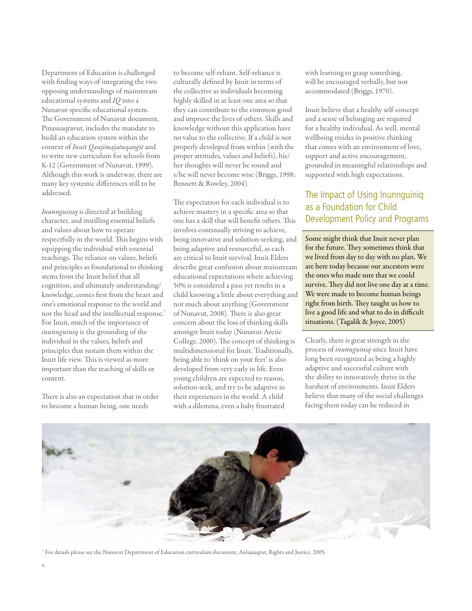Department of Education is challenged with finding ways of integrating the two opposing understandings of mainstream educational systems and *IQ* into a Nunavut-specific educational system. The Government of Nunavut document, Pinasuaqtavut, includes the mandate to build an education system within the context of *Inuit Qaujimajatuqangit* and to write new curriculum for schools from K-12 (Government of Nunavut, 1999). Although this work is underway, there are many key systemic differences still to be addressed.

*Inunnguiniq* is directed at building character, and instilling essential beliefs and values about how to operate respectfully in the world. This begins with equipping the individual with essential teachings. The reliance on values, beliefs and principles as foundational to thinking stems from the Inuit belief that all cognition, and ultimately understanding/ knowledge, comes first from the heart and one's emotional response to the world and not the head and the intellectual response.7 For Inuit, much of the importance of *inunnguiniq* is the grounding of the individual in the values, beliefs and principles that sustain them within the Inuit life view. This is viewed as more important than the teaching of skills or content.

There is also an expectation that in order to become a human being, one needs

to become self-reliant. Self-reliance is culturally defined by Inuit in terms of the collective as individuals becoming highly skilled in at least one area so that they can contribute to the common good and improve the lives of others. Skills and knowledge without this application have no value to the collective. If a child is not properly developed from within (with the proper attitudes, values and beliefs), his/ her thoughts will never be sound and s/he will never become wise (Briggs, 1998; Bennett & Rowley, 2004).

The expectation for each individual is to achieve mastery in a specific area so that one has a skill that will benefit others. This involves continually striving to achieve, being innovative and solution-seeking, and being adaptive and resourceful, as each are critical to Inuit survival. Inuit Elders describe great confusion about mainstream educational expectations where achieving 50% is considered a pass yet results in a child knowing a little about everything and not much about anything (Government of Nunavut, 2008). There is also great concern about the loss of thinking skills amongst Inuit today (Nunavut Arctic College, 2000). The concept of thinking is multidimensional for Inuit. Traditionally, being able to 'think on your feet' is also developed from very early in life. Even young children are expected to reason, solution-seek, and try to be adaptive in their experiences in the world. A child with a dilemma, even a baby frustrated

with learning to grasp something, will be encouraged verbally, but not accommodated (Briggs, 1970).

Inuit believe that a healthy self-concept and a sense of belonging are required for a healthy individual. As well, mental wellbeing resides in positive thinking that comes with an environment of love, support and active encouragement, grounded in meaningful relationships and supported with high expectations.

## The Impact of Using Inunnguiniq as a Foundation for Child Development Policy and Programs

Some might think that Inuit never plan for the future. They sometimes think that we lived from day to day with no plan. We are here today because our ancestors were the ones who made sure that we could survive. They did not live one day at a time. We were made to become human beings right from birth. They taught us how to live a good life and what to do in difficult situations. (Tagalik & Joyce, 2005)

Clearly, there is great strength in the process of *inunnguiniq* since Inuit have long been recognized as being a highly adaptive and successful culture with the ability to innovatively thrive in the harshest of environments. Inuit Elders believe that many of the social challenges facing them today can be reduced in



<sup>7</sup> For details please see the Nunavut Department of Education curriculum document, Aulajaaqtut, Rights and Justice, 2005.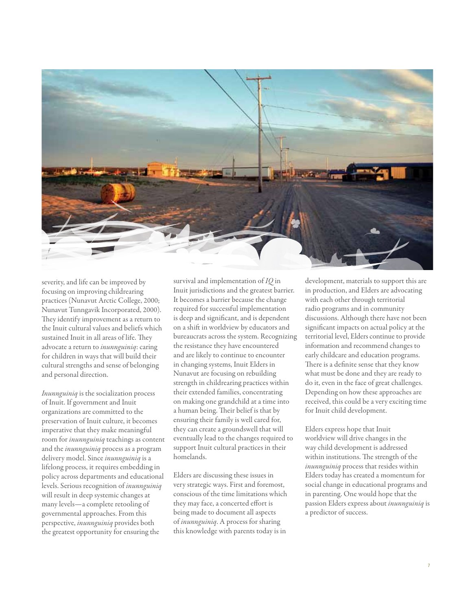

severity, and life can be improved by focusing on improving childrearing practices (Nunavut Arctic College, 2000; Nunavut Tunngavik Incorporated, 2000). They identify improvement as a return to the Inuit cultural values and beliefs which sustained Inuit in all areas of life. They advocate a return to *inunnguiniq*: caring for children in ways that will build their cultural strengths and sense of belonging and personal direction.

*Inunnguiniq* is the socialization process of Inuit. If government and Inuit organizations are committed to the preservation of Inuit culture, it becomes imperative that they make meaningful room for *inunnguiniq* teachings as content and the *inunnguiniq* process as a program delivery model. Since *inunnguiniq* is a lifelong process, it requires embedding in policy across departments and educational levels. Serious recognition of *inunnguiniq* will result in deep systemic changes at many levels—a complete retooling of governmental approaches. From this perspective, *inunnguiniq* provides both the greatest opportunity for ensuring the

survival and implementation of *IQ* in Inuit jurisdictions and the greatest barrier. It becomes a barrier because the change required for successful implementation is deep and significant, and is dependent on a shift in worldview by educators and bureaucrats across the system. Recognizing the resistance they have encountered and are likely to continue to encounter in changing systems, Inuit Elders in Nunavut are focusing on rebuilding strength in childrearing practices within their extended families, concentrating on making one grandchild at a time into a human being. Their belief is that by ensuring their family is well cared for, they can create a groundswell that will eventually lead to the changes required to support Inuit cultural practices in their homelands.

Elders are discussing these issues in very strategic ways. First and foremost, conscious of the time limitations which they may face, a concerted effort is being made to document all aspects of *inunnguiniq*. A process for sharing this knowledge with parents today is in

development, materials to support this are in production, and Elders are advocating with each other through territorial radio programs and in community discussions. Although there have not been significant impacts on actual policy at the territorial level, Elders continue to provide information and recommend changes to early childcare and education programs. There is a definite sense that they know what must be done and they are ready to do it, even in the face of great challenges. Depending on how these approaches are received, this could be a very exciting time for Inuit child development.

Elders express hope that Inuit worldview will drive changes in the way child development is addressed within institutions. The strength of the *inunnguiniq* process that resides within Elders today has created a momentum for social change in educational programs and in parenting. One would hope that the passion Elders express about *inunnguiniq* is a predictor of success.